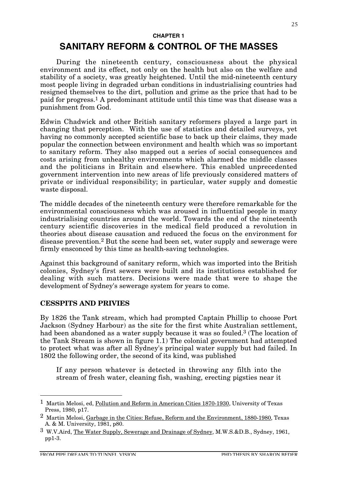#### **CHAPTER 1**

# **SANITARY REFORM & CONTROL OF THE MASSES**

During the nineteenth century, consciousness about the physical environment and its effect, not only on the health but also on the welfare and stability of a society, was greatly heightened. Until the mid-nineteenth century most people living in degraded urban conditions in industrialising countries had resigned themselves to the dirt, pollution and grime as the price that had to be paid for progress.1 A predominant attitude until this time was that disease was a punishment from God.

Edwin Chadwick and other British sanitary reformers played a large part in changing that perception. With the use of statistics and detailed surveys, yet having no commonly accepted scientific base to back up their claims, they made popular the connection between environment and health which was so important to sanitary reform. They also mapped out a series of social consequences and costs arising from unhealthy environments which alarmed the middle classes and the politicians in Britain and elsewhere. This enabled unprecedented government intervention into new areas of life previously considered matters of private or individual responsibility; in particular, water supply and domestic waste disposal.

The middle decades of the nineteenth century were therefore remarkable for the environmental consciousness which was aroused in influential people in many industrialising countries around the world. Towards the end of the nineteenth century scientific discoveries in the medical field produced a revolution in theories about disease causation and reduced the focus on the environment for disease prevention.2 But the scene had been set, water supply and sewerage were firmly ensconced by this time as health-saving technologies.

Against this background of sanitary reform, which was imported into the British colonies, Sydney's first sewers were built and its institutions established for dealing with such matters. Decisions were made that were to shape the development of Sydney's sewerage system for years to come.

#### **CESSPITS AND PRIVIES**

By 1826 the Tank stream, which had prompted Captain Phillip to choose Port Jackson (Sydney Harbour) as the site for the first white Australian settlement, had been abandoned as a water supply because it was so fouled.<sup>3</sup> (The location of the Tank Stream is shown in figure 1.1) The colonial government had attempted to protect what was after all Sydney's principal water supply but had failed. In 1802 the following order, the second of its kind, was published

If any person whatever is detected in throwing any filth into the stream of fresh water, cleaning fish, washing, erecting pigsties near it

 <sup>1</sup> Martin Melosi, ed, Pollution and Reform in American Cities 1870-1930, University of Texas Press, 1980, p17.

<sup>&</sup>lt;sup>2</sup> Martin Melosi, Garbage in the Cities: Refuse, Reform and the Environment, 1880-1980, Texas A. & M. University, 1981, p80.

<sup>3</sup> W.V.Aird, The Water Supply, Sewerage and Drainage of Sydney, M.W.S.&D.B., Sydney, 1961, pp1-3.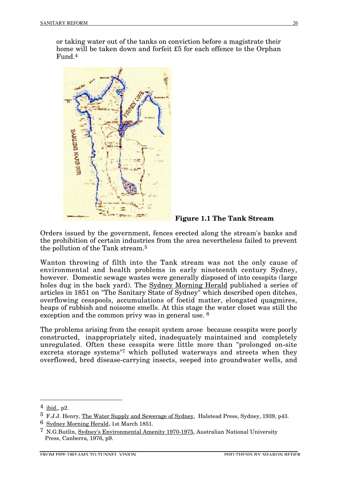or taking water out of the tanks on conviction before a magistrate their home will be taken down and forfeit £5 for each offence to the Orphan Fund.4



**Figure 1.1 The Tank Stream**

Orders issued by the government, fences erected along the stream's banks and the prohibition of certain industries from the area nevertheless failed to prevent the pollution of the Tank stream.5

Wanton throwing of filth into the Tank stream was not the only cause of environmental and health problems in early nineteenth century Sydney, however. Domestic sewage wastes were generally disposed of into cesspits (large holes dug in the back yard). The Sydney Morning Herald published a series of articles in 1851 on "The Sanitary State of Sydney" which described open ditches, overflowing cesspools, accumulations of foetid matter, elongated quagmires, heaps of rubbish and noisome smells. At this stage the water closet was still the exception and the common privy was in general use. 6

The problems arising from the cesspit system arose because cesspits were poorly constructed, inappropriately sited, inadequately maintained and completely unregulated. Often these cesspits were little more than "prolonged on-site excreta storage systems"7 which polluted waterways and streets when they overflowed, bred disease-carrying insects, seeped into groundwater wells, and

 $4$  ibid., p2.

<sup>5</sup> F.J.J. Henry, The Water Supply and Sewerage of Sydney, Halstead Press, Sydney, 1939, p43.

<sup>6</sup> Sydney Morning Herald, 1st March 1851.

<sup>7</sup> N.G.Butlin, Sydney's Environmental Amenity 1970-1975, Australian National University Press, Canberra, 1976, p9.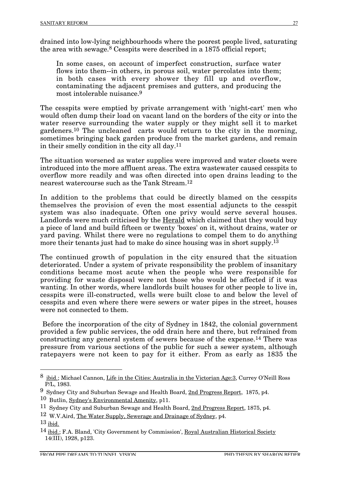drained into low-lying neighbourhoods where the poorest people lived, saturating the area with sewage.8 Cesspits were described in a 1875 official report;

In some cases, on account of imperfect construction, surface water flows into them--in others, in porous soil, water percolates into them; in both cases with every shower they fill up and overflow, contaminating the adjacent premises and gutters, and producing the most intolerable nuisance.9

The cesspits were emptied by private arrangement with 'night-cart' men who would often dump their load on vacant land on the borders of the city or into the water reserve surrounding the water supply or they might sell it to market gardeners.10 The uncleaned carts would return to the city in the morning, sometimes bringing back garden produce from the market gardens, and remain in their smelly condition in the city all day.11

The situation worsened as water supplies were improved and water closets were introduced into the more affluent areas. The extra wastewater caused cesspits to overflow more readily and was often directed into open drains leading to the nearest watercourse such as the Tank Stream.12

In addition to the problems that could be directly blamed on the cesspits themselves the provision of even the most essential adjuncts to the cesspit system was also inadequate. Often one privy would serve several houses. Landlords were much criticised by the Herald which claimed that they would buy a piece of land and build fifteen or twenty 'boxes' on it, without drains, water or yard paving. Whilst there were no regulations to compel them to do anything more their tenants just had to make do since housing was in short supply.<sup>13</sup>

The continued growth of population in the city ensured that the situation deteriorated. Under a system of private responsibility the problem of insanitary conditions became most acute when the people who were responsible for providing for waste disposal were not those who would be affected if it was wanting. In other words, where landlords built houses for other people to live in, cesspits were ill-constructed, wells were built close to and below the level of cesspits and even where there were sewers or water pipes in the street, houses were not connected to them.

Before the incorporation of the city of Sydney in 1842, the colonial government provided a few public services, the odd drain here and there, but refrained from constructing any general system of sewers because of the expense.14 There was pressure from various sections of the public for such a sewer system, although ratepayers were not keen to pay for it either. From as early as 1835 the

 <sup>8</sup> ibid.; Michael Cannon, Life in the Cities: Australia in the Victorian Age:3, Currey O'Neill Ross P/L, 1983.

<sup>&</sup>lt;sup>9</sup> Sydney City and Suburban Sewage and Health Board, 2nd Progress Report, 1875, p4.

<sup>10</sup> Butlin, Sydney's Environmental Amenity, p11.

<sup>11</sup> Sydney City and Suburban Sewage and Health Board, 2nd Progress Report, 1875, p4.

<sup>12</sup> W.V.Aird, The Water Supply, Sewerage and Drainage of Sydney, p4.

 $13$  ibid.

<sup>&</sup>lt;sup>14</sup> ibid.; F.A. Bland, 'City Government by Commission', Royal Australian Historical Society  $14(III)$ , 1928, p123.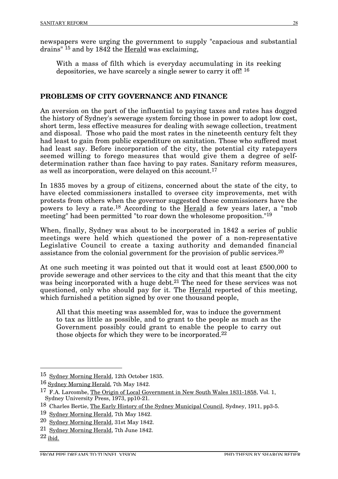newspapers were urging the government to supply "capacious and substantial drains" 15 and by 1842 the Herald was exclaiming,

With a mass of filth which is everyday accumulating in its reeking depositories, we have scarcely a single sewer to carry it off! 16

## **PROBLEMS OF CITY GOVERNANCE AND FINANCE**

An aversion on the part of the influential to paying taxes and rates has dogged the history of Sydney's sewerage system forcing those in power to adopt low cost, short term, less effective measures for dealing with sewage collection, treatment and disposal. Those who paid the most rates in the nineteenth century felt they had least to gain from public expenditure on sanitation. Those who suffered most had least say. Before incorporation of the city, the potential city ratepayers seemed willing to forego measures that would give them a degree of selfdetermination rather than face having to pay rates. Sanitary reform measures, as well as incorporation, were delayed on this account.17

In 1835 moves by a group of citizens, concerned about the state of the city, to have elected commissioners installed to oversee city improvements, met with protests from others when the governor suggested these commissioners have the powers to levy a rate.18 According to the Herald a few years later, a "mob meeting" had been permitted "to roar down the wholesome proposition."19

When, finally, Sydney was about to be incorporated in 1842 a series of public meetings were held which questioned the power of a non-representative Legislative Council to create a taxing authority and demanded financial assistance from the colonial government for the provision of public services.20

At one such meeting it was pointed out that it would cost at least £500,000 to provide sewerage and other services to the city and that this meant that the city was being incorporated with a huge debt.<sup>21</sup> The need for these services was not questioned, only who should pay for it. The Herald reported of this meeting, which furnished a petition signed by over one thousand people,

All that this meeting was assembled for, was to induce the government to tax as little as possible, and to grant to the people as much as the Government possibly could grant to enable the people to carry out those objects for which they were to be incorporated.22

<sup>&</sup>lt;sup>15</sup> Sydney Morning Herald, 12th October 1835.

<sup>16</sup> Sydney Morning Herald, 7th May 1842.

<sup>17</sup> F.A. Larcombe, The Origin of Local Government in New South Wales 1831-1858, Vol. 1, Sydney University Press, 1973, pp10-21.

<sup>18</sup> Charles Bertie, The Early History of the Sydney Municipal Council, Sydney, 1911, pp3-5.

<sup>19</sup> Sydney Morning Herald, 7th May 1842.

<sup>20</sup> Sydney Morning Herald, 31st May 1842.

<sup>21</sup> Sydney Morning Herald, 7th June 1842.

 $22$  ibid.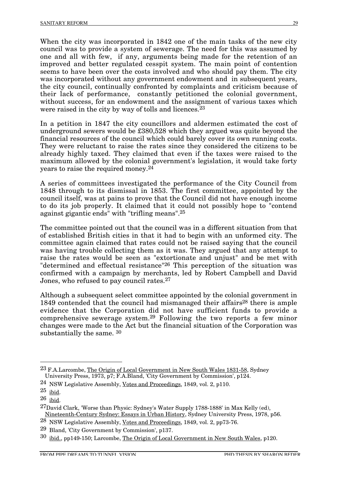When the city was incorporated in 1842 one of the main tasks of the new city council was to provide a system of sewerage. The need for this was assumed by one and all with few, if any, arguments being made for the retention of an improved and better regulated cesspit system. The main point of contention seems to have been over the costs involved and who should pay them. The city was incorporated without any government endowment and in subsequent years, the city council, continually confronted by complaints and criticism because of their lack of performance, constantly petitioned the colonial government, without success, for an endowment and the assignment of various taxes which were raised in the city by way of tolls and licences.<sup>23</sup>

In a petition in 1847 the city councillors and aldermen estimated the cost of underground sewers would be £380,528 which they argued was quite beyond the financial resources of the council which could barely cover its own running costs. They were reluctant to raise the rates since they considered the citizens to be already highly taxed. They claimed that even if the taxes were raised to the maximum allowed by the colonial government's legislation, it would take forty years to raise the required money.24

A series of committees investigated the performance of the City Council from 1848 through to its dismissal in 1853. The first committee, appointed by the council itself, was at pains to prove that the Council did not have enough income to do its job properly. It claimed that it could not possibly hope to "contend against gigantic ends" with "trifling means".25

The committee pointed out that the council was in a different situation from that of established British cities in that it had to begin with an unformed city. The committee again claimed that rates could not be raised saying that the council was having trouble collecting them as it was. They argued that any attempt to raise the rates would be seen as "extortionate and unjust" and be met with "determined and effectual resistance"26 This perception of the situation was confirmed with a campaign by merchants, led by Robert Campbell and David Jones, who refused to pay council rates.27

Although a subsequent select committee appointed by the colonial government in 1849 contended that the council had mismanaged their affairs28 there is ample evidence that the Corporation did not have sufficient funds to provide a comprehensive sewerage system.29 Following the two reports a few minor changes were made to the Act but the financial situation of the Corporation was substantially the same. 30

 <sup>23</sup> F.A.Larcombe, The Origin of Local Government in New South Wales 1831-58, Sydney University Press, 1973, p7; F.A.Bland, 'City Government by Commission', p124.

<sup>24</sup> NSW Legislative Assembly, Votes and Proceedings, 1849, vol. 2, p110.

 $25$  ibid.

 $26$  ibid.

<sup>27</sup>David Clark, 'Worse than Physic: Sydney's Water Supply 1788-1888' in Max Kelly (ed), Nineteenth-Century Sydney: Essays in Urban History, Sydney University Press, 1978, p56.

<sup>28</sup> NSW Legislative Assembly, Votes and Proceedings, 1849, vol. 2, pp73-76.

<sup>29</sup> Bland, 'City Government by Commission', p137.

<sup>30</sup> ibid., pp149-150; Larcombe, The Origin of Local Government in New South Wales, p120.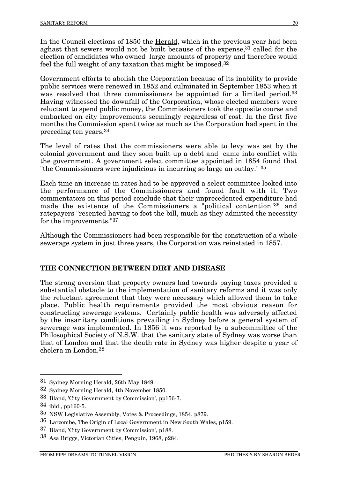In the Council elections of 1850 the Herald, which in the previous year had been aghast that sewers would not be built because of the expense,31 called for the election of candidates who owned large amounts of property and therefore would feel the full weight of any taxation that might be imposed.32

Government efforts to abolish the Corporation because of its inability to provide public services were renewed in 1852 and culminated in September 1853 when it was resolved that three commissioners be appointed for a limited period.<sup>33</sup> Having witnessed the downfall of the Corporation, whose elected members were reluctant to spend public money, the Commissioners took the opposite course and embarked on city improvements seemingly regardless of cost. In the first five months the Commission spent twice as much as the Corporation had spent in the preceding ten years.34

The level of rates that the commissioners were able to levy was set by the colonial government and they soon built up a debt and came into conflict with the government. A government select committee appointed in 1854 found that "the Commissioners were injudicious in incurring so large an outlay." 35

Each time an increase in rates had to be approved a select committee looked into the performance of the Commissioners and found fault with it. Two commentators on this period conclude that their unprecedented expenditure had made the existence of the Commissioners a "political contention"36 and ratepayers "resented having to foot the bill, much as they admitted the necessity for the improvements."37

Although the Commissioners had been responsible for the construction of a whole sewerage system in just three years, the Corporation was reinstated in 1857.

## **THE CONNECTION BETWEEN DIRT AND DISEASE**

The strong aversion that property owners had towards paying taxes provided a substantial obstacle to the implementation of sanitary reforms and it was only the reluctant agreement that they were necessary which allowed them to take place. Public health requirements provided the most obvious reason for constructing sewerage systems. Certainly public health was adversely affected by the insanitary conditions prevailing in Sydney before a general system of sewerage was implemented. In 1856 it was reported by a subcommittee of the Philosophical Society of N.S.W. that the sanitary state of Sydney was worse than that of London and that the death rate in Sydney was higher despite a year of cholera in London.38

 <sup>31</sup> Sydney Morning Herald, 26th May 1849.

<sup>32</sup> Sydney Morning Herald, 4th November 1850.

<sup>33</sup> Bland, 'City Government by Commission', pp156-7.

 $34$  ibid., pp160-5.

<sup>35</sup> NSW Legislative Assembly, Votes & Proceedings, 1854, p879.

<sup>36</sup> Larcombe, The Origin of Local Government in New South Wales, p159.

<sup>37</sup> Bland, 'City Government by Commission', p188.

<sup>38</sup> Asa Briggs, Victorian Cities, Penguin, 1968, p284.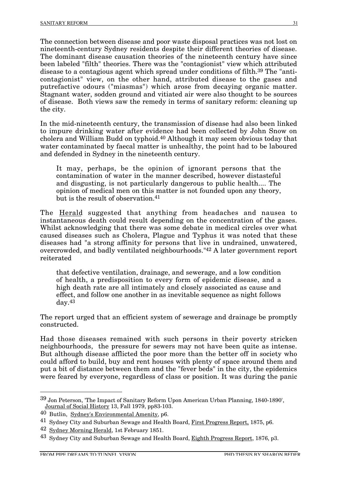The connection between disease and poor waste disposal practices was not lost on nineteenth-century Sydney residents despite their different theories of disease. The dominant disease causation theories of the nineteenth century have since been labeled "filth" theories. There was the "contagionist" view which attributed disease to a contagious agent which spread under conditions of filth.39 The "anticontagionist" view, on the other hand, attributed disease to the gases and putrefactive odours ("miasmas") which arose from decaying organic matter. Stagnant water, sodden ground and vitiated air were also thought to be sources of disease. Both views saw the remedy in terms of sanitary reform: cleaning up the city.

In the mid-nineteenth century, the transmission of disease had also been linked to impure drinking water after evidence had been collected by John Snow on cholera and William Budd on typhoid.40 Although it may seem obvious today that water contaminated by faecal matter is unhealthy, the point had to be laboured and defended in Sydney in the nineteenth century.

It may, perhaps, be the opinion of ignorant persons that the contamination of water in the manner described, however distasteful and disgusting, is not particularly dangerous to public health.... The opinion of medical men on this matter is not founded upon any theory, but is the result of observation.41

The Herald suggested that anything from headaches and nausea to instantaneous death could result depending on the concentration of the gases. Whilst acknowledging that there was some debate in medical circles over what caused diseases such as Cholera, Plague and Typhus it was noted that these diseases had "a strong affinity for persons that live in undrained, unwatered, overcrowded, and badly ventilated neighbourhoods."42 A later government report reiterated

that defective ventilation, drainage, and sewerage, and a low condition of health, a predisposition to every form of epidemic disease, and a high death rate are all intimately and closely associated as cause and effect, and follow one another in as inevitable sequence as night follows day.43

The report urged that an efficient system of sewerage and drainage be promptly constructed.

Had those diseases remained with such persons in their poverty stricken neighbourhoods, the pressure for sewers may not have been quite as intense. But although disease afflicted the poor more than the better off in society who could afford to build, buy and rent houses with plenty of space around them and put a bit of distance between them and the "fever beds" in the city, the epidemics were feared by everyone, regardless of class or position. It was during the panic

 <sup>39</sup> Jon Peterson, 'The Impact of Sanitary Reform Upon American Urban Planning, 1840-1890', Journal of Social History 13, Fall 1979, pp83-103.

<sup>40</sup> Butlin, Sydney's Environmental Amenity, p6.

<sup>41</sup> Sydney City and Suburban Sewage and Health Board, First Progress Report, 1875, p6.

<sup>42</sup> Sydney Morning Herald, 1st February 1851.

<sup>43</sup> Sydney City and Suburban Sewage and Health Board, Eighth Progress Report, 1876, p3.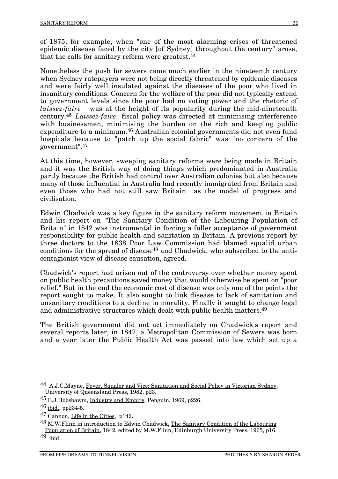of 1875, for example, when "one of the most alarming crises of threatened epidemic disease faced by the city [of Sydney] throughout the century" arose, that the calls for sanitary reform were greatest.44

Nonetheless the push for sewers came much earlier in the nineteenth century when Sydney ratepayers were not being directly threatened by epidemic diseases and were fairly well insulated against the diseases of the poor who lived in insanitary conditions. Concern for the welfare of the poor did not typically extend to government levels since the poor had no voting power and the rhetoric of *laissez-faire* was at the height of its popularity during the mid-nineteenth century.45 *Laissez-faire* fiscal policy was directed at minimising interference with businessmen, minimising the burden on the rich and keeping public expenditure to a minimum.46 Australian colonial governments did not even fund hospitals because to "patch up the social fabric" was "no concern of the government".47

At this time, however, sweeping sanitary reforms were being made in Britain and it was the British way of doing things which predominated in Australia partly because the British had control over Australian colonies but also because many of those influential in Australia had recently immigrated from Britain and even those who had not still saw Britain as the model of progress and civilisation.

Edwin Chadwick was a key figure in the sanitary reform movement in Britain and his report on "The Sanitary Condition of the Labouring Population of Britain" in 1842 was instrumental in forcing a fuller acceptance of government responsibility for public health and sanitation in Britain. A previous report by three doctors to the 1838 Poor Law Commission had blamed squalid urban conditions for the spread of disease<sup>48</sup> and Chadwick, who subscribed to the anticontagionist view of disease causation, agreed.

Chadwick's report had arisen out of the controversy over whether money spent on public health precautions saved money that would otherwise be spent on "poor relief." But in the end the economic cost of disease was only one of the points the report sought to make. It also sought to link disease to lack of sanitation and unsanitary conditions to a decline in morality. Finally it sought to change legal and administrative structures which dealt with public health matters.49

The British government did not act immediately on Chadwick's report and several reports later, in 1847, a Metropolitan Commission of Sewers was born and a year later the Public Health Act was passed into law which set up a

 <sup>44</sup> A.J.C.Mayne, Fever, Squalor and Vice: Sanitation and Social Policy in Victorian Sydney, University of Queensland Press, 1982, p23.

<sup>&</sup>lt;sup>45</sup> E.J.Hobsbawm, <u>Industry and Empire</u>, Penguin, 1969, p226.

 $46$  ibid., pp234-5.

<sup>47</sup> Cannon, Life in the Cities, p142.

<sup>48</sup> M.W.Flinn in introduction to Edwin Chadwick, The Sanitary Condition of the Labouring Population of Britain, 1842, edited by M.W.Flinn, Edinburgh University Press, 1965, p16.

<sup>49</sup> ibid.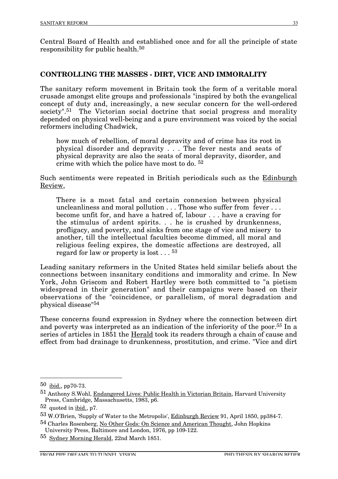Central Board of Health and established once and for all the principle of state responsibility for public health.50

#### **CONTROLLING THE MASSES - DIRT, VICE AND IMMORALITY**

The sanitary reform movement in Britain took the form of a veritable moral crusade amongst elite groups and professionals "inspired by both the evangelical concept of duty and, increasingly, a new secular concern for the well-ordered society".<sup>51</sup> The Victorian social doctrine that social progress and morality depended on physical well-being and a pure environment was voiced by the social reformers including Chadwick,

how much of rebellion, of moral depravity and of crime has its root in physical disorder and depravity . . . The fever nests and seats of physical depravity are also the seats of moral depravity, disorder, and crime with which the police have most to do. 52

Such sentiments were repeated in British periodicals such as the Edinburgh Review,

There is a most fatal and certain connexion between physical uncleanliness and moral pollution . . . Those who suffer from fever . . . become unfit for, and have a hatred of, labour . . . have a craving for the stimulus of ardent spirits. . . he is crushed by drunkenness, profligacy, and poverty, and sinks from one stage of vice and misery to another, till the intellectual faculties become dimmed, all moral and religious feeling expires, the domestic affections are destroyed, all regard for law or property is lost . . . 53

Leading sanitary reformers in the United States held similar beliefs about the connections between insanitary conditions and immorality and crime. In New York, John Griscom and Robert Hartley were both committed to "a pietism widespread in their generation" and their campaigns were based on their observations of the "coincidence, or parallelism, of moral degradation and physical disease"54

These concerns found expression in Sydney where the connection between dirt and poverty was interpreted as an indication of the inferiority of the poor.*55* In a series of articles in 1851 the Herald took its readers through a chain of cause and effect from bad drainage to drunkenness, prostitution, and crime. "Vice and dirt

 <sup>50</sup> ibid., pp70-73.

<sup>51</sup> Anthony S.Wohl, Endangered Lives: Public Health in Victorian Britain, Harvard University Press, Cambridge, Massachusetts, 1983, p6.

<sup>52</sup> quoted in ibid., p7.

<sup>53</sup> W.O'Brien, 'Supply of Water to the Metropolis', Edinburgh Review 91, April 1850, pp384-7.

<sup>54</sup> Charles Rosenberg, No Other Gods: On Science and American Thought, John Hopkins University Press, Baltimore and London, 1976, pp 109-122.

<sup>55</sup> Sydney Morning Herald, 22nd March 1851.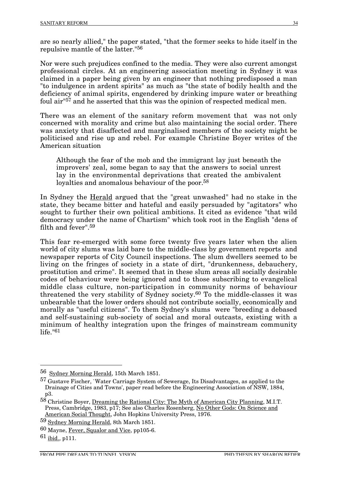are so nearly allied," the paper stated, "that the former seeks to hide itself in the repulsive mantle of the latter."56

Nor were such prejudices confined to the media. They were also current amongst professional circles. At an engineering association meeting in Sydney it was claimed in a paper being given by an engineer that nothing predisposed a man "to indulgence in ardent spirits" as much as "the state of bodily health and the deficiency of animal spirits, engendered by drinking impure water or breathing foul air"57 and he asserted that this was the opinion of respected medical men.

There was an element of the sanitary reform movement that was not only concerned with morality and crime but also maintaining the social order. There was anxiety that disaffected and marginalised members of the society might be politicised and rise up and rebel. For example Christine Boyer writes of the American situation

Although the fear of the mob and the immigrant lay just beneath the improvers' zeal, some began to say that the answers to social unrest lay in the environmental deprivations that created the ambivalent loyalties and anomalous behaviour of the poor.<sup>58</sup>

In Sydney the Herald argued that the "great unwashed" had no stake in the state, they became bitter and hateful and easily persuaded by "agitators" who sought to further their own political ambitions. It cited as evidence "that wild democracy under the name of Chartism" which took root in the English "dens of filth and fever".59

This fear re-emerged with some force twenty five years later when the alien world of city slums was laid bare to the middle-class by government reports and newspaper reports of City Council inspections. The slum dwellers seemed to be living on the fringes of society in a state of dirt, "drunkenness, debauchery, prostitution and crime". It seemed that in these slum areas all socially desirable codes of behaviour were being ignored and to those subscribing to evangelical middle class culture, non-participation in community norms of behaviour threatened the very stability of Sydney society.60 To the middle-classes it was unbearable that the lower orders should not contribute socially, economically and morally as "useful citizens". To them Sydney's slums were "breeding a debased and self-sustaining sub-society of social and moral outcasts, existing with a minimum of healthy integration upon the fringes of mainstream community life."61

 <sup>56</sup> Sydney Morning Herald, 15th March 1851.

<sup>57</sup> Gustave Fischer, `Water Carriage System of Sewerage, Its Disadvantages, as applied to the Drainage of Cities and Towns', paper read before the Engineering Association of NSW, 1884, p3.

<sup>58</sup> Christine Boyer, Dreaming the Rational City: The Myth of American City Planning, M.I.T. Press, Cambridge, 1983, p17; See also Charles Rosenberg, No Other Gods: On Science and American Social Thought, John Hopkins University Press, 1976.

<sup>59</sup> Sydney Morning Herald, 8th March 1851.

<sup>60</sup> Mayne, Fever, Squalor and Vice, pp105-6.

 $61$  ibid., p111.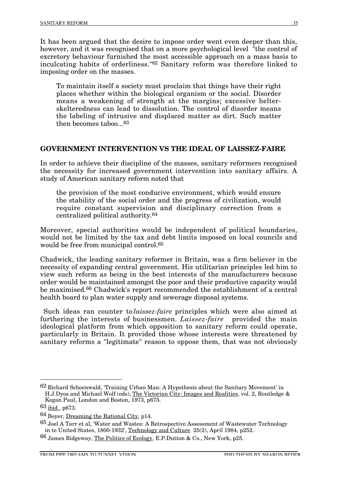It has been argued that the desire to impose order went even deeper than this, however, and it was recognised that on a more psychological level <sup>"the control of"</sup> excretory behaviour furnished the most accessible approach on a mass basis to inculcating habits of orderliness."62 Sanitary reform was therefore linked to imposing order on the masses.

To maintain itself a society must proclaim that things have their right places whether within the biological organism or the social. Disorder means a weakening of strength at the margins; excessive helterskelteredness can lead to dissolution. The control of disorder means the labeling of intrusive and displaced matter as dirt. Such matter then becomes taboo...63

#### **GOVERNMENT INTERVENTION VS THE IDEAL OF LAISSEZ-FAIRE**

In order to achieve their discipline of the masses, sanitary reformers recognised the necessity for increased government intervention into sanitary affairs. A study of American sanitary reform noted that

the provision of the most conducive environment, which would ensure the stability of the social order and the progress of civilization, would require constant supervision and disciplinary correction from a centralized political authority.64

Moreover, special authorities would be independent of political boundaries, would not be limited by the tax and debt limits imposed on local councils and would be free from municipal control.65

Chadwick, the leading sanitary reformer in Britain, was a firm believer in the necessity of expanding central government. His utilitarian principles led him to view such reform as being in the best interests of the manufacturers because order would be maintained amongst the poor and their productive capacity would be maximised.66 Chadwick's report recommended the establishment of a central health board to plan water supply and sewerage disposal systems.

Such ideas ran counter to *laissez-faire* principles which were also aimed at furthering the interests of businessmen. *Laissez-faire* provided the main ideological platform from which opposition to sanitary reform could operate, particularly in Britain. It provided those whose interests were threatened by sanitary reforms a "legitimate" reason to oppose them, that was not obviously

 <sup>62</sup> Richard Schoenwald, 'Training Urban Man: A Hypothesis about the Sanitary Movement' in H.J.Dyos and Michael Wolf (eds), The Victorian City: Images and Realities, vol. 2, Routledge &

Kegan Paul, London and Boston, 1973, p675.

<sup>63</sup> ibid., p673.

<sup>64</sup> Boyer, Dreaming the Rational City, p14.

<sup>65</sup> Joel A Tarr et al, 'Water and Wastes: A Retrospective Assessment of Wastewater Technology in te United States, 1800-1932', Technology and Culture 25(2), April 1984, p252.

<sup>66</sup> James Ridgeway, The Politics of Ecology, E.P.Dutton & Co., New York, p25.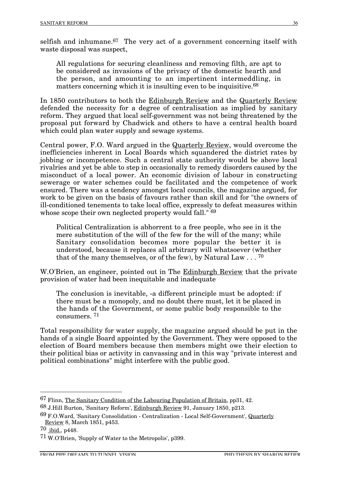selfish and inhumane.<sup>67</sup> The very act of a government concerning itself with waste disposal was suspect,

All regulations for securing cleanliness and removing filth, are apt to be considered as invasions of the privacy of the domestic hearth and the person, and amounting to an impertinent intermeddling, in matters concerning which it is insulting even to be inquisitive.<sup>68</sup>

In 1850 contributors to both the Edinburgh Review and the Quarterly Review defended the necessity for a degree of centralisation as implied by sanitary reform. They argued that local self-government was not being threatened by the proposal put forward by Chadwick and others to have a central health board which could plan water supply and sewage systems.

Central power, F.O. Ward argued in the Quarterly Review, would overcome the inefficiencies inherent in Local Boards which squandered the district rates by jobbing or incompetence. Such a central state authority would be above local rivalries and yet be able to step in occasionally to remedy disorders caused by the misconduct of a local power. An economic division of labour in constructing sewerage or water schemes could be facilitated and the competence of work ensured. There was a tendency amongst local councils, the magazine argued, for work to be given on the basis of favours rather than skill and for "the owners of ill-conditioned tenements to take local office, expressly to defeat measures within whose scope their own neglected property would fall." <sup>69</sup>

Political Centralization is abhorrent to a free people, who see in it the mere substitution of the will of the few for the will of the many; while Sanitary consolidation becomes more popular the better it is understood, because it replaces all arbitrary will whatsoever (whether that of the many themselves, or of the few), by Natural Law  $\ldots$  <sup>70</sup>

W.O'Brien, an engineer, pointed out in The Edinburgh Review that the private provision of water had been inequitable and inadequate

The conclusion is inevitable, -a different principle must be adopted: if there must be a monopoly, and no doubt there must, let it be placed in the hands of the Government, or some public body responsible to the consumers. 71

Total responsibility for water supply, the magazine argued should be put in the hands of a single Board appointed by the Government. They were opposed to the election of Board members because then members might owe their election to their political bias or activity in canvassing and in this way "private interest and political combinations" might interfere with the public good.

 <sup>67</sup> Flinn, The Sanitary Condition of the Labouring Population of Britain, pp31, 42.

<sup>68</sup> J.Hill Burton, 'Sanitary Reform', Edinburgh Review 91, January 1850, p213.

<sup>69</sup> F.O.Ward, 'Sanitary Consolidation - Centralization - Local Self-Government', Quarterly Review 8, March 1851, p453.

<sup>70</sup> ibid., p448.

<sup>71</sup> W.O'Brien, 'Supply of Water to the Metropolis', p399.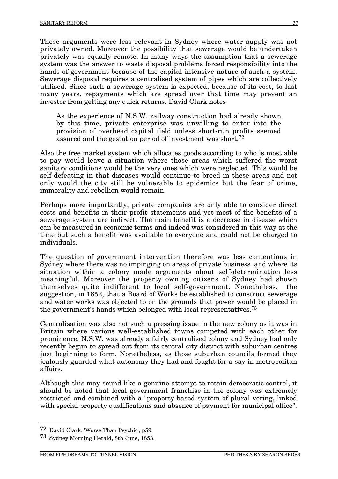These arguments were less relevant in Sydney where water supply was not privately owned. Moreover the possibility that sewerage would be undertaken privately was equally remote. In many ways the assumption that a sewerage system was the answer to waste disposal problems forced responsibility into the hands of government because of the capital intensive nature of such a system. Sewerage disposal requires a centralised system of pipes which are collectively utilised. Since such a sewerage system is expected, because of its cost, to last many years, repayments which are spread over that time may prevent an investor from getting any quick returns. David Clark notes

As the experience of N.S.W. railway construction had already shown by this time, private enterprise was unwilling to enter into the provision of overhead capital field unless short-run profits seemed assured and the gestation period of investment was short.<sup>72</sup>

Also the free market system which allocates goods according to who is most able to pay would leave a situation where those areas which suffered the worst sanitary conditions would be the very ones which were neglected. This would be self-defeating in that diseases would continue to breed in these areas and not only would the city still be vulnerable to epidemics but the fear of crime, immorality and rebellion would remain.

Perhaps more importantly, private companies are only able to consider direct costs and benefits in their profit statements and yet most of the benefits of a sewerage system are indirect. The main benefit is a decrease in disease which can be measured in economic terms and indeed was considered in this way at the time but such a benefit was available to everyone and could not be charged to individuals.

The question of government intervention therefore was less contentious in Sydney where there was no impinging on areas of private business and where its situation within a colony made arguments about self-determination less meaningful. Moreover the property owning citizens of Sydney had shown themselves quite indifferent to local self-government. Nonetheless, the suggestion, in 1852, that a Board of Works be established to construct sewerage and water works was objected to on the grounds that power would be placed in the government's hands which belonged with local representatives.73

Centralisation was also not such a pressing issue in the new colony as it was in Britain where various well-established towns competed with each other for prominence. N.S.W. was already a fairly centralised colony and Sydney had only recently begun to spread out from its central city district with suburban centres just beginning to form. Nonetheless, as those suburban councils formed they jealously guarded what autonomy they had and fought for a say in metropolitan affairs.

Although this may sound like a genuine attempt to retain democratic control, it should be noted that local government franchise in the colony was extremely restricted and combined with a "property-based system of plural voting, linked with special property qualifications and absence of payment for municipal office".

 <sup>72</sup> David Clark, 'Worse Than Psychic', p59.

<sup>73</sup> Sydney Morning Herald, 8th June, 1853.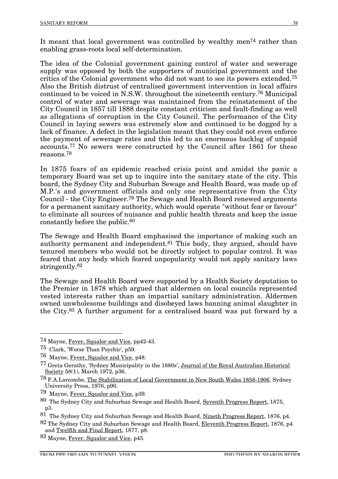It meant that local government was controlled by wealthy men<sup>74</sup> rather than enabling grass-roots local self-determination.

The idea of the Colonial government gaining control of water and sewerage supply was opposed by both the supporters of municipal government and the critics of the Colonial government who did not want to see its powers extended.75 Also the British distrust of centralised government intervention in local affairs continued to be voiced in N.S.W. throughout the nineteenth century.76 Municipal control of water and sewerage was maintained from the reinstatement of the City Council in 1857 till 1888 despite constant criticism and fault-finding as well as allegations of corruption in the City Council. The performance of the City Council in laying sewers was extremely slow and continued to be dogged by a lack of finance. A defect in the legislation meant that they could not even enforce the payment of sewerage rates and this led to an enormous backlog of unpaid accounts.77 No sewers were constructed by the Council after 1861 for these reasons.78

In 1875 fears of an epidemic reached crisis point and amidst the panic a temporary Board was set up to inquire into the sanitary state of the city. This board, the Sydney City and Suburban Sewage and Health Board, was made up of M.P.'s and government officials and only one representative from the City Council - the City Engineer.79 The Sewage and Health Board renewed arguments for a permanent sanitary authority, which would operate "without fear or favour" to eliminate all sources of nuisance and public health threats and keep the issue constantly before the public.80

The Sewage and Health Board emphasised the importance of making such an authority permanent and independent.81 This body, they argued, should have tenured members who would not be directly subject to popular control. It was feared that any body which feared unpopularity would not apply sanitary laws stringently.82

The Sewage and Health Board were supported by a Health Society deputation to the Premier in 1878 which argued that aldermen on local councils represented vested interests rather than an impartial sanitary administration. Aldermen owned unwholesome buildings and disobeyed laws banning animal slaughter in the City.83 A further argument for a centralised board was put forward by a

 <sup>74</sup> Mayne, Fever, Squalor and Vice, pp42-43.

<sup>75</sup> Clark, 'Worse Than Psychic', p59.

<sup>76</sup> Mayne, Fever, Squalor and Vice, p48.

<sup>77</sup> Greta Gerathy, 'Sydney Municipality in the 1880s', Journal of the Royal Australian Historical Society 58(1), March 1972, p36.

<sup>78</sup> F.A.Larcombe, The Stabilization of Local Government in New South Wales 1858-1906, Sydney University Press, 1976, p90.

<sup>79</sup> Mayne, Fever, Squalor and Vice, p39.

<sup>80</sup> The Sydney City and Suburban Sewage and Health Board, Seventh Progress Report, 1875, p3.

<sup>81</sup> The Sydney City and Suburban Sewage and Health Board, Nineth Progress Report, 1876, p4.

<sup>82</sup> The Sydney City and Suburban Sewage and Health Board, Eleventh Progress Report, 1876, p4 and Twelfth and Final Report, 1877, p8.

<sup>83</sup> Mayne, Fever, Squalor and Vice, p45.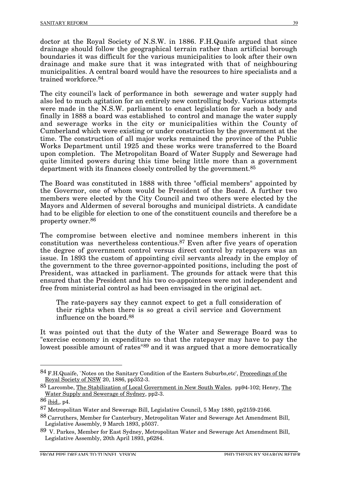doctor at the Royal Society of N.S.W. in 1886. F.H.Quaife argued that since drainage should follow the geographical terrain rather than artificial borough boundaries it was difficult for the various municipalities to look after their own drainage and make sure that it was integrated with that of neighbouring municipalities. A central board would have the resources to hire specialists and a trained workforce.84

The city council's lack of performance in both sewerage and water supply had also led to much agitation for an entirely new controlling body. Various attempts were made in the N.S.W. parliament to enact legislation for such a body and finally in 1888 a board was established to control and manage the water supply and sewerage works in the city or municipalities within the County of Cumberland which were existing or under construction by the government at the time. The construction of all major works remained the province of the Public Works Department until 1925 and these works were transferred to the Board upon completion. The Metropolitan Board of Water Supply and Sewerage had quite limited powers during this time being little more than a government department with its finances closely controlled by the government.85

The Board was constituted in 1888 with three "official members" appointed by the Governor, one of whom would be President of the Board. A further two members were elected by the City Council and two others were elected by the Mayors and Aldermen of several boroughs and municipal districts. A candidate had to be eligible for election to one of the constituent councils and therefore be a property owner.86

The compromise between elective and nominee members inherent in this constitution was nevertheless contentious.87 Even after five years of operation the degree of government control versus direct control by ratepayers was an issue. In 1893 the custom of appointing civil servants already in the employ of the government to the three governor-appointed positions, including the post of President, was attacked in parliament. The grounds for attack were that this ensured that the President and his two co-appointees were not independent and free from ministerial control as had been envisaged in the original act.

The rate-payers say they cannot expect to get a full consideration of their rights when there is so great a civil service and Government influence on the board.88

It was pointed out that the duty of the Water and Sewerage Board was to "exercise economy in expenditure so that the ratepayer may have to pay the lowest possible amount of rates<sup>"89</sup> and it was argued that a more democratically

<sup>84</sup> F.H.Quaife, `Notes on the Sanitary Condition of the Eastern Suburbs, etc', Proceedings of the Royal Society of NSW 20, 1886, pp $\tilde{3}52-3$ .

<sup>85</sup> Larcombe, The Stabilization of Local Government in New South Wales, pp94-102; Henry, The Water Supply and Sewerage of Sydney, pp2-3.

<sup>86</sup> ibid., p4.

<sup>87</sup> Metropolitan Water and Sewerage Bill, Legislative Council, 5 May 1880, pp2159-2166.

<sup>88</sup> Carruthers, Member for Canterbury, Metropolitan Water and Sewerage Act Amendment Bill, Legislative Assembly, 9 March 1893, p5037.

<sup>89</sup> V. Parkes, Member for East Sydney, Metropolitan Water and Sewerage Act Amendment Bill, Legislative Assembly, 20th April 1893, p6284.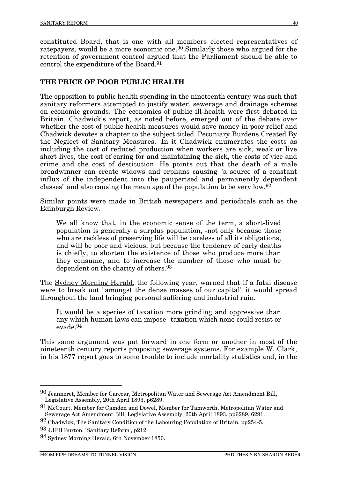constituted Board, that is one with all members elected representatives of ratepayers, would be a more economic one.90 Similarly those who argued for the retention of government control argued that the Parliament should be able to control the expenditure of the Board.91

## **THE PRICE OF POOR PUBLIC HEALTH**

The opposition to public health spending in the nineteenth century was such that sanitary reformers attempted to justify water, sewerage and drainage schemes on economic grounds. The economics of public ill-health were first debated in Britain. Chadwick's report, as noted before, emerged out of the debate over whether the cost of public health measures would save money in poor relief and Chadwick devotes a chapter to the subject titled 'Pecuniary Burdens Created By the Neglect of Sanitary Measures.' In it Chadwick enumerates the costs as including the cost of reduced production when workers are sick, weak or live short lives, the cost of caring for and maintaining the sick, the costs of vice and crime and the cost of destitution. He points out that the death of a male breadwinner can create widows and orphans causing "a source of a constant influx of the independent into the pauperised and permanently dependent classes" and also causing the mean age of the population to be very low.92

Similar points were made in British newspapers and periodicals such as the Edinburgh Review.

We all know that, in the economic sense of the term, a short-lived population is generally a surplus population, -not only because those who are reckless of preserving life will be careless of all its obligations, and will be poor and vicious, but because the tendency of early deaths is chiefly, to shorten the existence of those who produce more than they consume, and to increase the number of those who must be dependent on the charity of others.93

The Sydney Morning Herald, the following year, warned that if a fatal disease were to break out "amongst the dense masses of our capital" it would spread throughout the land bringing personal suffering and industrial ruin.

It would be a species of taxation more grinding and oppressive than any which human laws can impose--taxation which none could resist or evade.94

This same argument was put forward in one form or another in most of the nineteenth century reports proposing sewerage systems. For example W. Clark, in his 1877 report goes to some trouble to include mortality statistics and, in the

 <sup>90</sup> Jeanneret, Member for Carcoar, Metropolitan Water and Sewerage Act Amendment Bill, Legislative Assembly, 20th April 1893, p6289.

<sup>91</sup> McCourt, Member for Camden and Dowel, Member for Tamworth, Metropolitan Water and Sewerage Act Amendment Bill, Legislative Assembly, 20th April 1893, pp6289, 6291.

<sup>92</sup> Chadwick, The Sanitary Condition of the Labouring Population of Britain, pp254-5.

<sup>93</sup> J.Hill Burton, 'Sanitary Reform', p212.

<sup>94</sup> Sydney Morning Herald, 6th November 1850.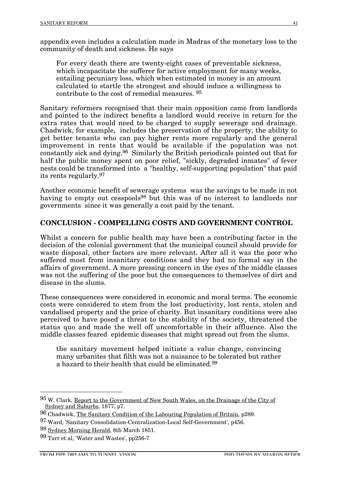appendix even includes a calculation made in Madras of the monetary loss to the community of death and sickness. He says

For every death there are twenty-eight cases of preventable sickness, which incapacitate the sufferer for active employment for many weeks, entailing pecuniary loss, which when estimated in money is an amount calculated to startle the strongest and should induce a willingness to contribute to the cost of remedial measures. 95

Sanitary reformers recognised that their main opposition came from landlords and pointed to the indirect benefits a landlord would receive in return for the extra rates that would need to be charged to supply sewerage and drainage. Chadwick, for example, includes the preservation of the property, the ability to get better tenants who can pay higher rents more regularly and the general improvement in rents that would be available if the population was not constantly sick and dying.96 Similarly the British periodicals pointed out that for half the public money spent on poor relief, "sickly, degraded inmates" of fever nests could be transformed into a "healthy, self-supporting population" that paid its rents regularly.97

Another economic benefit of sewerage systems was the savings to be made in not having to empty out cesspools<sup>98</sup> but this was of no interest to landlords nor governments since it was generally a cost paid by the tenant.

### **CONCLUSION - COMPELLING COSTS AND GOVERNMENT CONTROL**

Whilst a concern for public health may have been a contributing factor in the decision of the colonial government that the municipal council should provide for waste disposal, other factors are more relevant. After all it was the poor who suffered most from insanitary conditions and they had no formal say in the affairs of government. A more pressing concern in the eyes of the middle classes was not the suffering of the poor but the consequences to themselves of dirt and disease in the slums.

These consequences were considered in economic and moral terms. The economic costs were considered to stem from the lost productivity, lost rents, stolen and vandalised property and the price of charity. But insanitary conditions were also perceived to have posed a threat to the stability of the society, threatened the status quo and made the well off uncomfortable in their affluence. Also the middle classes feared epidemic diseases that might spread out from the slums.

the sanitary movement helped initiate a value change, convincing many urbanites that filth was not a nuisance to be tolerated but rather a hazard to their health that could be eliminated.99

 <sup>95</sup> W. Clark, Report to the Government of New South Wales, on the Drainage of the City of Sydney and Suburbs, 1877, p7.

<sup>96</sup> Chadwick, The Sanitary Condition of the Labouring Population of Britain, p289.

<sup>97</sup> Ward, 'Sanitary Consolidation-Centralization-Local Self-Government', p456.

<sup>98</sup> Sydney Morning Herald, 8th March 1851.

<sup>99</sup> Tarr et al, 'Water and Wastes', pp256-7